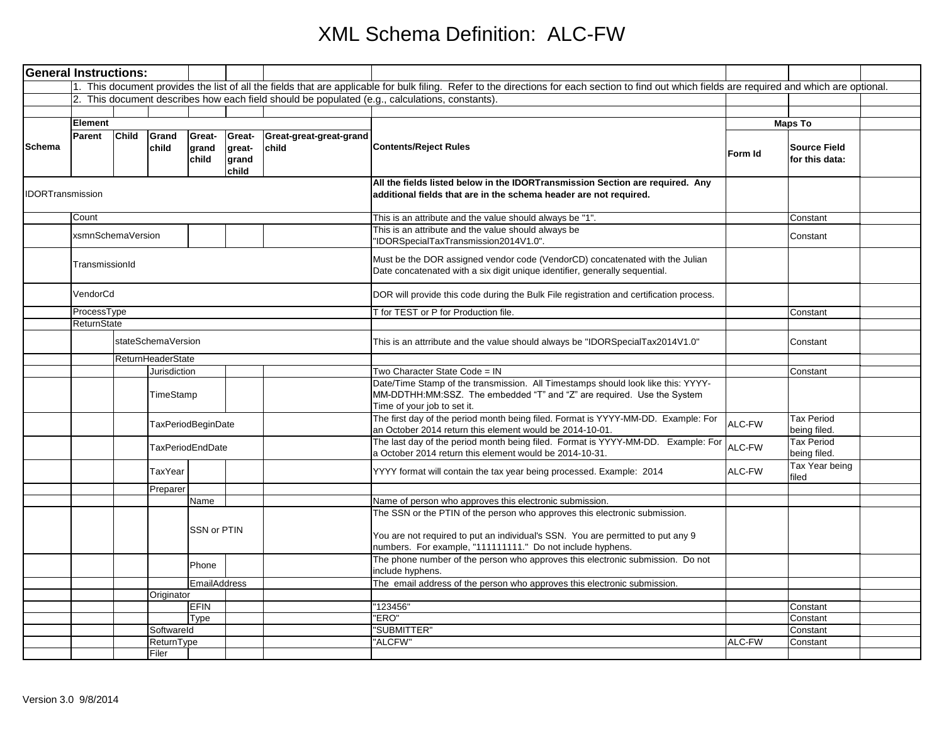| <b>General Instructions:</b> |                |                         |                           |                          |                                    |                                  |                                                                                                                                                                                                                             |         |                                       |  |
|------------------------------|----------------|-------------------------|---------------------------|--------------------------|------------------------------------|----------------------------------|-----------------------------------------------------------------------------------------------------------------------------------------------------------------------------------------------------------------------------|---------|---------------------------------------|--|
|                              |                |                         |                           |                          |                                    |                                  | 1. This document provides the list of all the fields that are applicable for bulk filing. Refer to the directions for each section to find out which fields are required and which are optional.                            |         |                                       |  |
|                              |                |                         |                           |                          |                                    |                                  | 2. This document describes how each field should be populated (e.g., calculations, constants).                                                                                                                              |         |                                       |  |
|                              |                |                         |                           |                          |                                    |                                  |                                                                                                                                                                                                                             |         |                                       |  |
|                              | Element        |                         |                           |                          |                                    |                                  |                                                                                                                                                                                                                             |         | <b>Maps To</b>                        |  |
| Schema                       | Parent         | Child                   | Grand<br>child            | Great-<br>grand<br>child | Great-<br>great-<br>grand<br>child | Great-great-great-grand<br>child | <b>Contents/Reject Rules</b>                                                                                                                                                                                                | Form Id | <b>Source Field</b><br>for this data: |  |
| <b>IDORTransmission</b>      |                |                         |                           |                          |                                    |                                  | All the fields listed below in the IDORTransmission Section are required. Any<br>additional fields that are in the schema header are not required.                                                                          |         |                                       |  |
|                              | Count          |                         |                           |                          |                                    |                                  | This is an attribute and the value should always be "1".                                                                                                                                                                    |         | Constant                              |  |
|                              |                | xsmnSchemaVersion       |                           |                          |                                    |                                  | This is an attribute and the value should always be<br>"IDORSpecialTaxTransmission2014V1.0".                                                                                                                                |         | Constant                              |  |
|                              | TransmissionId |                         |                           |                          |                                    |                                  | Must be the DOR assigned vendor code (VendorCD) concatenated with the Julian<br>Date concatenated with a six digit unique identifier, generally sequential.                                                                 |         |                                       |  |
|                              |                | VendorCd                |                           |                          |                                    |                                  | DOR will provide this code during the Bulk File registration and certification process.                                                                                                                                     |         |                                       |  |
|                              | ProcessType    |                         |                           |                          |                                    |                                  | T for TEST or P for Production file.                                                                                                                                                                                        |         | Constant                              |  |
|                              |                | <b>ReturnState</b>      |                           |                          |                                    |                                  |                                                                                                                                                                                                                             |         |                                       |  |
|                              |                |                         | stateSchemaVersion        |                          |                                    |                                  | This is an attrribute and the value should always be "IDORSpecialTax2014V1.0"                                                                                                                                               |         | Constant                              |  |
|                              |                |                         | ReturnHeaderState         |                          |                                    |                                  |                                                                                                                                                                                                                             |         |                                       |  |
|                              |                |                         | Jurisdiction<br>TimeStamp |                          |                                    |                                  | Two Character State Code = IN<br>Date/Time Stamp of the transmission. All Timestamps should look like this: YYYY-<br>MM-DDTHH:MM:SSZ. The embedded "T" and "Z" are required. Use the System<br>Time of your job to set it.  |         | Constant                              |  |
|                              |                | TaxPeriodBeginDate      |                           |                          |                                    |                                  | The first day of the period month being filed. Format is YYYY-MM-DD. Example: For<br>an October 2014 return this element would be 2014-10-01.                                                                               | ALC-FW  | <b>Tax Period</b><br>being filed.     |  |
|                              |                | <b>TaxPeriodEndDate</b> |                           |                          |                                    |                                  | The last day of the period month being filed. Format is YYYY-MM-DD. Example: For<br>a October 2014 return this element would be 2014-10-31.                                                                                 | ALC-FW  | <b>Tax Period</b><br>being filed.     |  |
|                              |                |                         | TaxYear                   |                          |                                    |                                  | YYYY format will contain the tax year being processed. Example: 2014                                                                                                                                                        | ALC-FW  | Tax Year being<br>filed               |  |
|                              |                |                         | Preparer                  |                          |                                    |                                  |                                                                                                                                                                                                                             |         |                                       |  |
|                              |                |                         |                           | Name                     |                                    |                                  | Name of person who approves this electronic submission.                                                                                                                                                                     |         |                                       |  |
|                              |                |                         |                           | SSN or PTIN              |                                    |                                  | The SSN or the PTIN of the person who approves this electronic submission.<br>You are not required to put an individual's SSN. You are permitted to put any 9<br>numbers. For example, "111111111." Do not include hyphens. |         |                                       |  |
|                              |                |                         |                           | Phone                    |                                    |                                  | The phone number of the person who approves this electronic submission. Do not<br>include hyphens.                                                                                                                          |         |                                       |  |
|                              |                |                         |                           | <b>EmailAddress</b>      |                                    |                                  | The email address of the person who approves this electronic submission.                                                                                                                                                    |         |                                       |  |
|                              |                |                         | Originator                |                          |                                    |                                  |                                                                                                                                                                                                                             |         |                                       |  |
|                              |                |                         |                           | <b>EFIN</b>              |                                    |                                  | "123456"                                                                                                                                                                                                                    |         | Constant                              |  |
|                              |                |                         |                           | Type                     |                                    |                                  | "ERO"                                                                                                                                                                                                                       |         | Constant                              |  |
|                              |                |                         | Softwareld<br>ReturnType  |                          |                                    |                                  | "SUBMITTER"<br>"ALCFW"                                                                                                                                                                                                      | ALC-FW  | Constant<br>Constant                  |  |
|                              |                |                         | Filer                     |                          |                                    |                                  |                                                                                                                                                                                                                             |         |                                       |  |
|                              |                |                         |                           |                          |                                    |                                  |                                                                                                                                                                                                                             |         |                                       |  |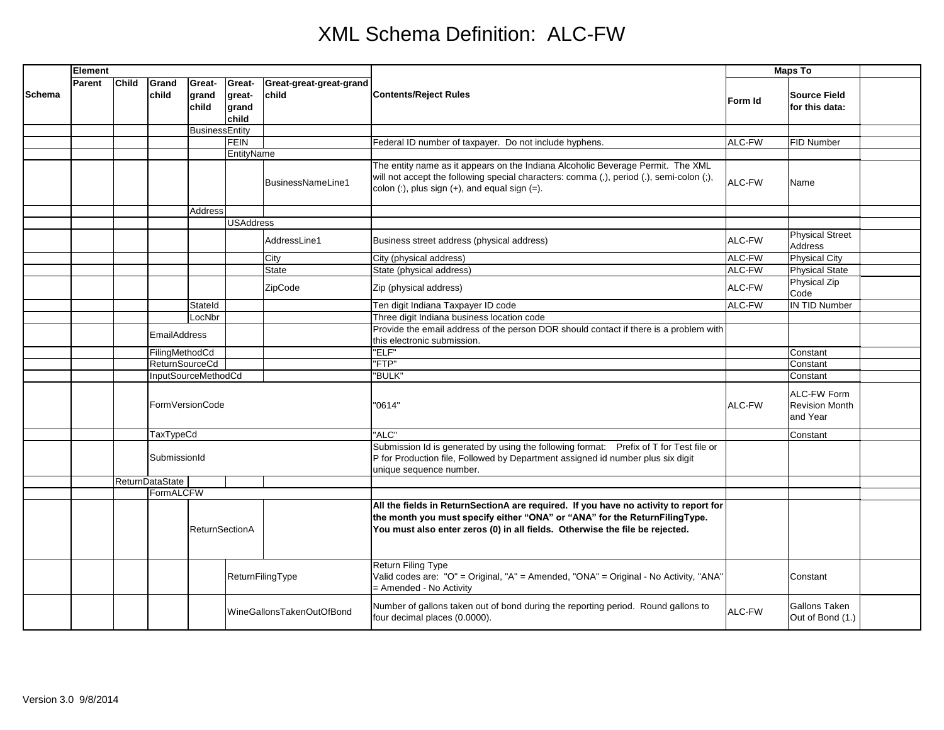|               | Element |              |                        |                          |                                    |                                  |                                                                                                                                                                                                                                                    | <b>Maps To</b> |                                                  |  |
|---------------|---------|--------------|------------------------|--------------------------|------------------------------------|----------------------------------|----------------------------------------------------------------------------------------------------------------------------------------------------------------------------------------------------------------------------------------------------|----------------|--------------------------------------------------|--|
| <b>Schema</b> | Parent  | <b>Child</b> | Grand<br>child         | Great-<br>grand<br>child | Great-<br>great-<br>grand<br>child | Great-great-great-grand<br>child | <b>Contents/Reject Rules</b>                                                                                                                                                                                                                       | Form Id        | <b>Source Field</b><br>for this data:            |  |
|               |         |              |                        | <b>BusinessEntity</b>    |                                    |                                  |                                                                                                                                                                                                                                                    |                |                                                  |  |
|               |         |              |                        |                          | FEIN                               |                                  | Federal ID number of taxpayer. Do not include hyphens.                                                                                                                                                                                             | ALC-FW         | FID Number                                       |  |
|               |         |              | EntityName             |                          |                                    |                                  |                                                                                                                                                                                                                                                    |                |                                                  |  |
|               |         |              |                        |                          |                                    | BusinessNameLine1                | The entity name as it appears on the Indiana Alcoholic Beverage Permit. The XML<br>will not accept the following special characters: comma (,), period (.), semi-colon (;),<br>colon $(:)$ , plus sign $(+)$ , and equal sign $(=)$ .              | ALC-FW         | Name                                             |  |
|               |         |              |                        | Address                  |                                    |                                  |                                                                                                                                                                                                                                                    |                |                                                  |  |
|               |         |              |                        |                          | <b>USAddress</b>                   |                                  |                                                                                                                                                                                                                                                    |                |                                                  |  |
|               |         |              |                        |                          |                                    | AddressLine1                     | Business street address (physical address)                                                                                                                                                                                                         | ALC-FW         | <b>Physical Street</b><br><b>Address</b>         |  |
|               |         |              |                        |                          |                                    | City                             | City (physical address)                                                                                                                                                                                                                            | ALC-FW         | <b>Physical City</b>                             |  |
|               |         |              |                        |                          |                                    | <b>State</b>                     | State (physical address)                                                                                                                                                                                                                           | ALC-FW         | <b>Physical State</b>                            |  |
|               |         |              |                        |                          |                                    | ZipCode                          | Zip (physical address)                                                                                                                                                                                                                             | ALC-FW         | Physical Zip<br>Code                             |  |
|               |         |              |                        | Stateld                  |                                    |                                  | Ten digit Indiana Taxpayer ID code                                                                                                                                                                                                                 | ALC-FW         | <b>IN TID Number</b>                             |  |
|               |         |              |                        | LocNbr                   |                                    |                                  | Three digit Indiana business location code                                                                                                                                                                                                         |                |                                                  |  |
|               |         |              | <b>EmailAddress</b>    |                          |                                    |                                  | Provide the email address of the person DOR should contact if there is a problem with<br>this electronic submission.                                                                                                                               |                |                                                  |  |
|               |         |              | FilingMethodCd         |                          |                                    |                                  | "ELF"                                                                                                                                                                                                                                              |                | Constant                                         |  |
|               |         |              |                        | <b>ReturnSourceCd</b>    |                                    |                                  | "FTP"                                                                                                                                                                                                                                              |                | Constant                                         |  |
|               |         |              | InputSourceMethodCd    |                          |                                    |                                  | "BULK"                                                                                                                                                                                                                                             |                | Constant                                         |  |
|               |         |              | FormVersionCode        |                          |                                    |                                  | "0614"                                                                                                                                                                                                                                             | ALC-FW         | ALC-FW Form<br><b>Revision Month</b><br>and Year |  |
|               |         |              | TaxTypeCd              |                          |                                    |                                  | "ALC"                                                                                                                                                                                                                                              |                | Constant                                         |  |
|               |         |              | SubmissionId           |                          |                                    |                                  | Submission Id is generated by using the following format: Prefix of T for Test file or<br>P for Production file, Followed by Department assigned id number plus six digit<br>unique sequence number.                                               |                |                                                  |  |
|               |         |              | <b>ReturnDataState</b> |                          |                                    |                                  |                                                                                                                                                                                                                                                    |                |                                                  |  |
|               |         |              | FormALCFW              |                          |                                    |                                  |                                                                                                                                                                                                                                                    |                |                                                  |  |
|               |         |              |                        | <b>ReturnSectionA</b>    |                                    |                                  | All the fields in ReturnSectionA are required. If you have no activity to report for<br>the month you must specify either "ONA" or "ANA" for the ReturnFilingType.<br>You must also enter zeros (0) in all fields. Otherwise the file be rejected. |                |                                                  |  |
|               |         |              | ReturnFilingType       |                          |                                    |                                  | <b>Return Filing Type</b><br>Valid codes are: "O" = Original, "A" = Amended, "ONA" = Original - No Activity, "ANA"<br>= Amended - No Activity                                                                                                      |                | Constant                                         |  |
|               |         |              |                        |                          |                                    | WineGallonsTakenOutOfBond        | Number of gallons taken out of bond during the reporting period. Round gallons to<br>four decimal places (0.0000).                                                                                                                                 | ALC-FW         | Gallons Taken<br>Out of Bond (1.)                |  |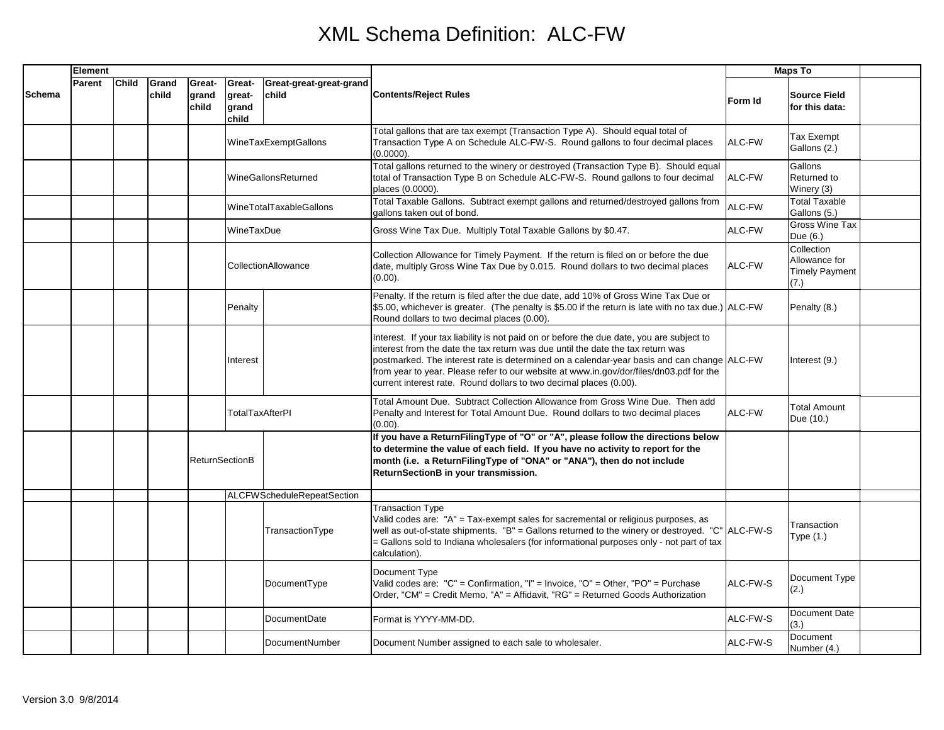|               | Element |              |                |                          |                                    |                                   |                                                                                                                                                                                                                                                                                                                                                                                                                                             | <b>Maps To</b> |                                                              |  |
|---------------|---------|--------------|----------------|--------------------------|------------------------------------|-----------------------------------|---------------------------------------------------------------------------------------------------------------------------------------------------------------------------------------------------------------------------------------------------------------------------------------------------------------------------------------------------------------------------------------------------------------------------------------------|----------------|--------------------------------------------------------------|--|
| <b>Schema</b> | Parent  | <b>Child</b> | Grand<br>child | Great-<br>grand<br>child | Great-<br>great-<br>grand<br>child | Great-great-great-grand<br>child  | <b>Contents/Reject Rules</b>                                                                                                                                                                                                                                                                                                                                                                                                                | Form Id        | <b>Source Field</b><br>for this data:                        |  |
|               |         |              |                |                          |                                    | WineTaxExemptGallons              | Total gallons that are tax exempt (Transaction Type A). Should equal total of<br>Transaction Type A on Schedule ALC-FW-S. Round gallons to four decimal places<br>(0.0000).                                                                                                                                                                                                                                                                 | ALC-FW         | Tax Exempt<br>Gallons (2.)                                   |  |
|               |         |              |                |                          |                                    | WineGallonsReturned               | Total gallons returned to the winery or destroyed (Transaction Type B). Should equal<br>total of Transaction Type B on Schedule ALC-FW-S. Round gallons to four decimal<br>places (0.0000).                                                                                                                                                                                                                                                 | ALC-FW         | Gallons<br>Returned to<br>Winery (3)                         |  |
|               |         |              |                |                          |                                    | <b>WineTotalTaxableGallons</b>    | Total Taxable Gallons. Subtract exempt gallons and returned/destroyed gallons from<br>gallons taken out of bond.                                                                                                                                                                                                                                                                                                                            | ALC-FW         | <b>Total Taxable</b><br>Gallons (5.)                         |  |
|               |         |              |                |                          | WineTaxDue                         |                                   | Gross Wine Tax Due. Multiply Total Taxable Gallons by \$0.47.                                                                                                                                                                                                                                                                                                                                                                               | ALC-FW         | Gross Wine Tax<br>Due (6.)                                   |  |
|               |         |              |                |                          |                                    | CollectionAllowance               | Collection Allowance for Timely Payment. If the return is filed on or before the due<br>date, multiply Gross Wine Tax Due by 0.015. Round dollars to two decimal places<br>$(0.00)$ .                                                                                                                                                                                                                                                       | ALC-FW         | Collection<br>Allowance for<br><b>Timely Payment</b><br>(7.) |  |
|               |         |              |                |                          | Penalty                            |                                   | Penalty. If the return is filed after the due date, add 10% of Gross Wine Tax Due or<br>\$5.00, whichever is greater. (The penalty is \$5.00 if the return is late with no tax due.) ALC-FW<br>Round dollars to two decimal places (0.00).                                                                                                                                                                                                  |                | Penalty (8.)                                                 |  |
|               |         |              |                |                          | Interest                           |                                   | Interest. If your tax liability is not paid on or before the due date, you are subject to<br>interest from the date the tax return was due until the date the tax return was<br>postmarked. The interest rate is determined on a calendar-year basis and can change ALC-FW<br>from year to year. Please refer to our website at www.in.gov/dor/files/dn03.pdf for the<br>current interest rate. Round dollars to two decimal places (0.00). |                | Interest (9.)                                                |  |
|               |         |              |                |                          | TotalTaxAfterPI                    |                                   | Total Amount Due. Subtract Collection Allowance from Gross Wine Due. Then add<br>Penalty and Interest for Total Amount Due. Round dollars to two decimal places<br>(0.00).                                                                                                                                                                                                                                                                  | ALC-FW         | <b>Total Amount</b><br>Due (10.)                             |  |
|               |         |              |                | <b>ReturnSectionB</b>    |                                    |                                   | If you have a ReturnFilingType of "O" or "A", please follow the directions below<br>to determine the value of each field. If you have no activity to report for the<br>month (i.e. a ReturnFilingType of "ONA" or "ANA"), then do not include<br>ReturnSectionB in your transmission.                                                                                                                                                       |                |                                                              |  |
|               |         |              |                |                          |                                    | <b>ALCFWScheduleRepeatSection</b> |                                                                                                                                                                                                                                                                                                                                                                                                                                             |                |                                                              |  |
|               |         |              |                |                          |                                    | TransactionType                   | <b>Transaction Type</b><br>Valid codes are: "A" = Tax-exempt sales for sacremental or religious purposes, as<br>well as out-of-state shipments. "B" = Gallons returned to the winery or destroyed. "C" ALC-FW-S<br>= Gallons sold to Indiana wholesalers (for informational purposes only - not part of tax<br>calculation).                                                                                                                |                | Transaction<br>Type (1.)                                     |  |
|               |         |              |                |                          |                                    | DocumentType                      | Document Type<br>Valid codes are: "C" = Confirmation, "I" = Invoice, "O" = Other, "PO" = Purchase<br>Order, "CM" = Credit Memo, "A" = Affidavit, "RG" = Returned Goods Authorization                                                                                                                                                                                                                                                        | ALC-FW-S       | Document Type<br>(2.)                                        |  |
|               |         |              |                |                          |                                    | DocumentDate                      | Format is YYYY-MM-DD.                                                                                                                                                                                                                                                                                                                                                                                                                       | ALC-FW-S       | Document Date<br>(3.)                                        |  |
|               |         |              |                |                          |                                    | DocumentNumber                    | Document Number assigned to each sale to wholesaler.                                                                                                                                                                                                                                                                                                                                                                                        | ALC-FW-S       | Document<br>Number (4.)                                      |  |